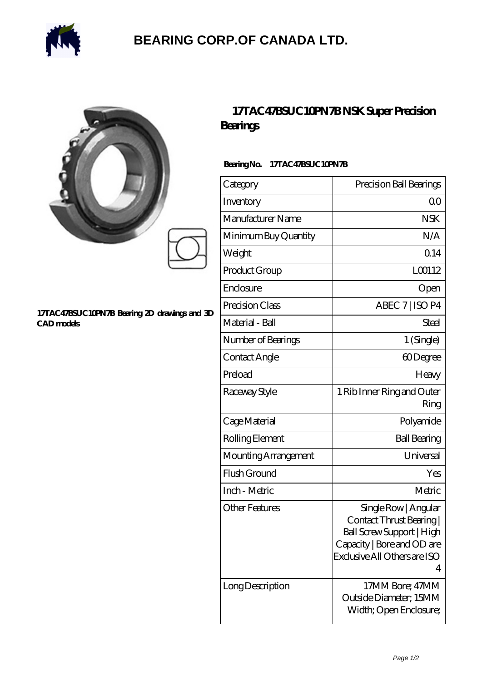

## **[BEARING CORP.OF CANADA LTD.](https://alliancetestequipment.com)**

|                                                            | 17TAC47BSUC10PN7BNS<br>Bearings |  |
|------------------------------------------------------------|---------------------------------|--|
|                                                            | BearingNo.<br>17TAC47BSUC10PN7B |  |
|                                                            | Category                        |  |
|                                                            | Inventory                       |  |
|                                                            | Manufacturer Name               |  |
|                                                            | Minimum Buy Quantity            |  |
|                                                            | Weight                          |  |
|                                                            | Product Group                   |  |
|                                                            | Enclosure                       |  |
|                                                            | Precision Class                 |  |
| 17TAC47BSUC10PN7B Bearing 2D drawings and 3D<br>CAD models | Material - Ball                 |  |
|                                                            | Number of Bearings              |  |
|                                                            | Contact Anglo                   |  |

## **17TAC Super Precision**

| Category              | Precision Ball Bearings                                                                                                                               |
|-----------------------|-------------------------------------------------------------------------------------------------------------------------------------------------------|
| Inventory             | 0 <sup>0</sup>                                                                                                                                        |
| Manufacturer Name     | <b>NSK</b>                                                                                                                                            |
| Minimum Buy Quantity  | N/A                                                                                                                                                   |
| Weight                | 0.14                                                                                                                                                  |
| Product Group         | L00112                                                                                                                                                |
| Enclosure             | Open                                                                                                                                                  |
| Precision Class       | ABEC 7   ISO P4                                                                                                                                       |
| Material - Ball       | Steel                                                                                                                                                 |
| Number of Bearings    | 1 (Single)                                                                                                                                            |
| Contact Angle         | 60Degree                                                                                                                                              |
| Preload               | Heavy                                                                                                                                                 |
| Raceway Style         | 1 Rib Inner Ring and Outer<br>Ring                                                                                                                    |
| Cage Material         | Polyamide                                                                                                                                             |
| Rolling Element       | <b>Ball Bearing</b>                                                                                                                                   |
| Mounting Arrangement  | Universal                                                                                                                                             |
| Flush Ground          | Yes                                                                                                                                                   |
| Inch - Metric         | Metric                                                                                                                                                |
| <b>Other Features</b> | Single Row   Angular<br>Contact Thrust Bearing<br><b>Ball Screw Support   High</b><br>Capacity   Bore and OD are<br>Exclusive All Others are ISO<br>4 |
| Long Description      | 17MM Bore; 47MM<br>Outside Diameter; 15MM<br>Width; Open Enclosure;                                                                                   |